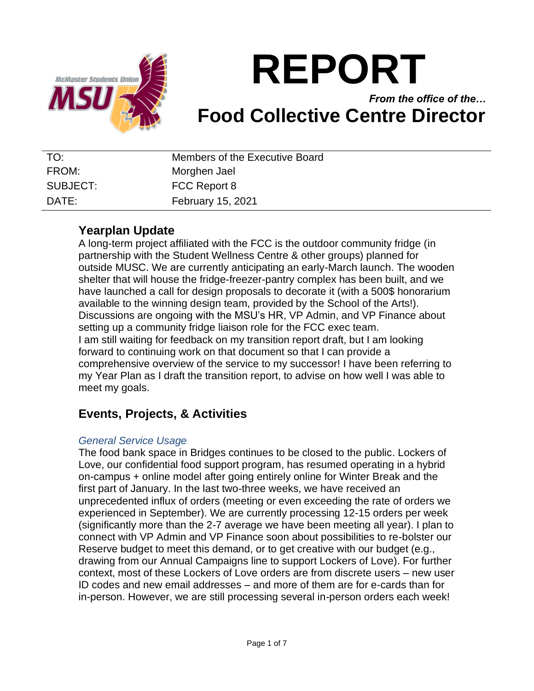

# **REPORT**

## *From the office of the…* **Food Collective Centre Director**

| TO:      | Members of the Executive Board |
|----------|--------------------------------|
| FROM:    | Morghen Jael                   |
| SUBJECT: | FCC Report 8                   |
| DATF:    | February 15, 2021              |

## **Yearplan Update**

A long-term project affiliated with the FCC is the outdoor community fridge (in partnership with the Student Wellness Centre & other groups) planned for outside MUSC. We are currently anticipating an early-March launch. The wooden shelter that will house the fridge-freezer-pantry complex has been built, and we have launched a call for design proposals to decorate it (with a 500\$ honorarium available to the winning design team, provided by the School of the Arts!). Discussions are ongoing with the MSU's HR, VP Admin, and VP Finance about setting up a community fridge liaison role for the FCC exec team. I am still waiting for feedback on my transition report draft, but I am looking forward to continuing work on that document so that I can provide a comprehensive overview of the service to my successor! I have been referring to my Year Plan as I draft the transition report, to advise on how well I was able to meet my goals.

## **Events, Projects, & Activities**

#### *General Service Usage*

The food bank space in Bridges continues to be closed to the public. Lockers of Love, our confidential food support program, has resumed operating in a hybrid on-campus + online model after going entirely online for Winter Break and the first part of January. In the last two-three weeks, we have received an unprecedented influx of orders (meeting or even exceeding the rate of orders we experienced in September). We are currently processing 12-15 orders per week (significantly more than the 2-7 average we have been meeting all year). I plan to connect with VP Admin and VP Finance soon about possibilities to re-bolster our Reserve budget to meet this demand, or to get creative with our budget (e.g., drawing from our Annual Campaigns line to support Lockers of Love). For further context, most of these Lockers of Love orders are from discrete users – new user ID codes and new email addresses – and more of them are for e-cards than for in-person. However, we are still processing several in-person orders each week!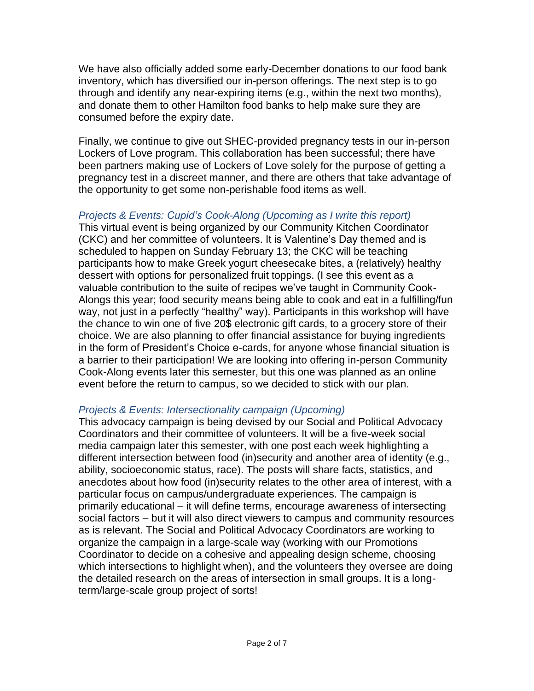We have also officially added some early-December donations to our food bank inventory, which has diversified our in-person offerings. The next step is to go through and identify any near-expiring items (e.g., within the next two months), and donate them to other Hamilton food banks to help make sure they are consumed before the expiry date.

Finally, we continue to give out SHEC-provided pregnancy tests in our in-person Lockers of Love program. This collaboration has been successful; there have been partners making use of Lockers of Love solely for the purpose of getting a pregnancy test in a discreet manner, and there are others that take advantage of the opportunity to get some non-perishable food items as well.

#### *Projects & Events: Cupid's Cook-Along (Upcoming as I write this report)*

This virtual event is being organized by our Community Kitchen Coordinator (CKC) and her committee of volunteers. It is Valentine's Day themed and is scheduled to happen on Sunday February 13; the CKC will be teaching participants how to make Greek yogurt cheesecake bites, a (relatively) healthy dessert with options for personalized fruit toppings. (I see this event as a valuable contribution to the suite of recipes we've taught in Community Cook-Alongs this year; food security means being able to cook and eat in a fulfilling/fun way, not just in a perfectly "healthy" way). Participants in this workshop will have the chance to win one of five 20\$ electronic gift cards, to a grocery store of their choice. We are also planning to offer financial assistance for buying ingredients in the form of President's Choice e-cards, for anyone whose financial situation is a barrier to their participation! We are looking into offering in-person Community Cook-Along events later this semester, but this one was planned as an online event before the return to campus, so we decided to stick with our plan.

#### *Projects & Events: Intersectionality campaign (Upcoming)*

This advocacy campaign is being devised by our Social and Political Advocacy Coordinators and their committee of volunteers. It will be a five-week social media campaign later this semester, with one post each week highlighting a different intersection between food (in)security and another area of identity (e.g., ability, socioeconomic status, race). The posts will share facts, statistics, and anecdotes about how food (in)security relates to the other area of interest, with a particular focus on campus/undergraduate experiences. The campaign is primarily educational – it will define terms, encourage awareness of intersecting social factors – but it will also direct viewers to campus and community resources as is relevant. The Social and Political Advocacy Coordinators are working to organize the campaign in a large-scale way (working with our Promotions Coordinator to decide on a cohesive and appealing design scheme, choosing which intersections to highlight when), and the volunteers they oversee are doing the detailed research on the areas of intersection in small groups. It is a longterm/large-scale group project of sorts!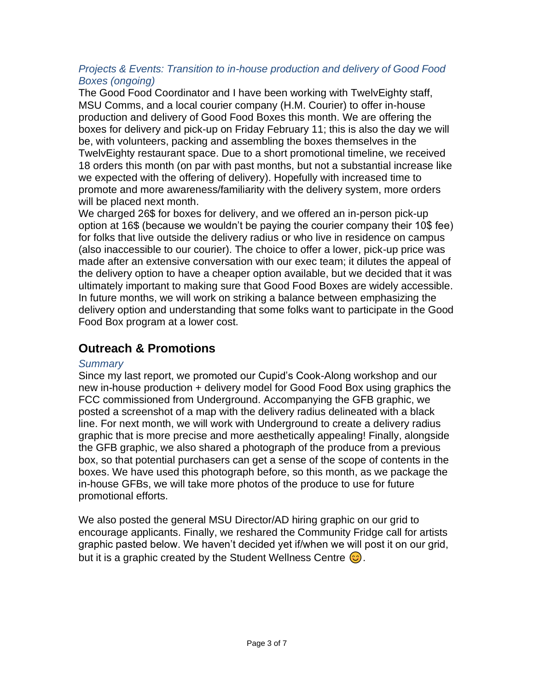#### *Projects & Events: Transition to in-house production and delivery of Good Food Boxes (ongoing)*

The Good Food Coordinator and I have been working with TwelvEighty staff, MSU Comms, and a local courier company (H.M. Courier) to offer in-house production and delivery of Good Food Boxes this month. We are offering the boxes for delivery and pick-up on Friday February 11; this is also the day we will be, with volunteers, packing and assembling the boxes themselves in the TwelvEighty restaurant space. Due to a short promotional timeline, we received 18 orders this month (on par with past months, but not a substantial increase like we expected with the offering of delivery). Hopefully with increased time to promote and more awareness/familiarity with the delivery system, more orders will be placed next month.

We charged 26\$ for boxes for delivery, and we offered an in-person pick-up option at 16\$ (because we wouldn't be paying the courier company their 10\$ fee) for folks that live outside the delivery radius or who live in residence on campus (also inaccessible to our courier). The choice to offer a lower, pick-up price was made after an extensive conversation with our exec team; it dilutes the appeal of the delivery option to have a cheaper option available, but we decided that it was ultimately important to making sure that Good Food Boxes are widely accessible. In future months, we will work on striking a balance between emphasizing the delivery option and understanding that some folks want to participate in the Good Food Box program at a lower cost.

## **Outreach & Promotions**

#### *Summary*

Since my last report, we promoted our Cupid's Cook-Along workshop and our new in-house production + delivery model for Good Food Box using graphics the FCC commissioned from Underground. Accompanying the GFB graphic, we posted a screenshot of a map with the delivery radius delineated with a black line. For next month, we will work with Underground to create a delivery radius graphic that is more precise and more aesthetically appealing! Finally, alongside the GFB graphic, we also shared a photograph of the produce from a previous box, so that potential purchasers can get a sense of the scope of contents in the boxes. We have used this photograph before, so this month, as we package the in-house GFBs, we will take more photos of the produce to use for future promotional efforts.

We also posted the general MSU Director/AD hiring graphic on our grid to encourage applicants. Finally, we reshared the Community Fridge call for artists graphic pasted below. We haven't decided yet if/when we will post it on our grid, but it is a graphic created by the Student Wellness Centre  $\circled{c}$ .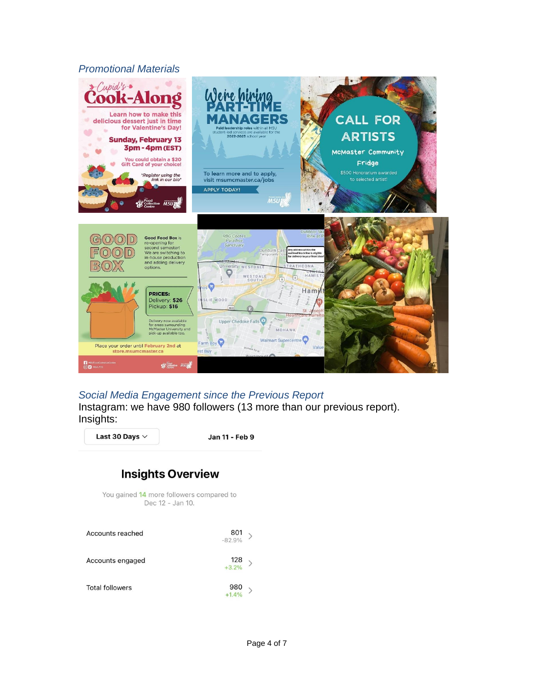#### *Promotional Materials*



#### *Social Media Engagement since the Previous Report*

Instagram: we have 980 followers (13 more than our previous report). Insights:

Last 30 Days  $\vee$ 

Jan 11 - Feb 9

## **Insights Overview**

You gained 14 more followers compared to Dec 12 - Jan 10.

| Accounts reached       | $\begin{matrix}801\\-\t82.9\%\\\end{matrix}$ |  |
|------------------------|----------------------------------------------|--|
| Accounts engaged       | $\begin{array}{c} 128 \\ +3.2\% \end{array}$ |  |
| <b>Total followers</b> | $980$<br>$+1.4\%$                            |  |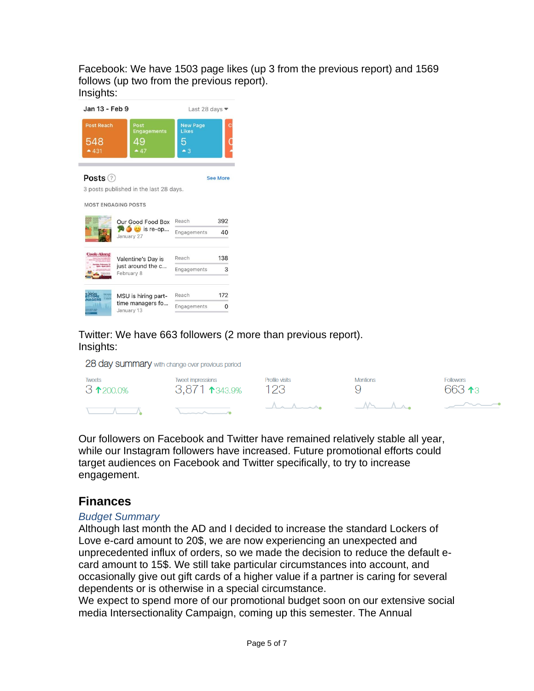Facebook: We have 1503 page likes (up 3 from the previous report) and 1569 follows (up two from the previous report). Insights:

| Jan 13 - Feb 9                     |                                                                        | Last 28 days •                                 |                 |
|------------------------------------|------------------------------------------------------------------------|------------------------------------------------|-----------------|
| <b>Post Reach</b><br>548<br>$-431$ | Post<br><b>Engagements</b><br>49<br>$-47$                              | <b>New Page</b><br>Likes<br>5<br>$\triangle$ 3 |                 |
| Posts (?)                          | 3 posts published in the last 28 days.<br><b>MOST ENGAGING POSTS</b>   |                                                | <b>See More</b> |
|                                    | <b>Our Good Food Box</b><br>$\bullet$ $\bullet$ is re-op<br>January 27 | Reach<br>Engagements                           | 392<br>40       |
| <b>Cook-Along</b>                  | Valentine's Day is<br>just around the c<br>February 8                  | Reach<br>Engagements                           | 138<br>3        |
|                                    | MSU is hiring part-<br>time managers fo<br>January 13                  | Reach<br>Engagements                           | 172<br>0        |

Twitter: We have 663 followers (2 more than previous report). Insights:

28 day summary with change over previous period

| <b>Tweets</b>      | <b>Tweet impressions</b> | Profile visits        | <b>Mentions</b> | <b>Followers</b> |
|--------------------|--------------------------|-----------------------|-----------------|------------------|
| $3 \times 200.0\%$ | 3,871 1343.9%            | 123                   |                 | 66313            |
|                    |                          | $A \wedge A \wedge A$ | $\sim$          |                  |

Our followers on Facebook and Twitter have remained relatively stable all year, while our Instagram followers have increased. Future promotional efforts could target audiences on Facebook and Twitter specifically, to try to increase engagement.

## **Finances**

#### *Budget Summary*

Although last month the AD and I decided to increase the standard Lockers of Love e-card amount to 20\$, we are now experiencing an unexpected and unprecedented influx of orders, so we made the decision to reduce the default ecard amount to 15\$. We still take particular circumstances into account, and occasionally give out gift cards of a higher value if a partner is caring for several dependents or is otherwise in a special circumstance.

We expect to spend more of our promotional budget soon on our extensive social media Intersectionality Campaign, coming up this semester. The Annual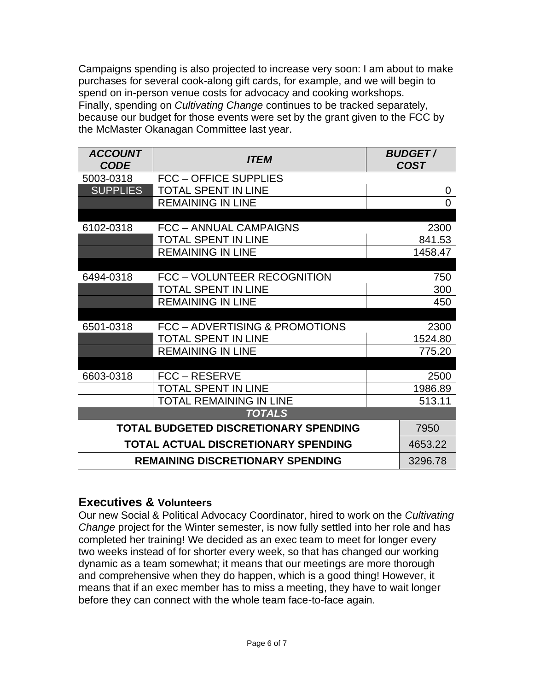Campaigns spending is also projected to increase very soon: I am about to make purchases for several cook-along gift cards, for example, and we will begin to spend on in-person venue costs for advocacy and cooking workshops. Finally, spending on *Cultivating Change* continues to be tracked separately, because our budget for those events were set by the grant given to the FCC by the McMaster Okanagan Committee last year.

| <b>ACCOUNT</b><br><b>CODE</b> | <b>ITEM</b>                             | <b>BUDGET/</b><br><b>COST</b> |
|-------------------------------|-----------------------------------------|-------------------------------|
| 5003-0318                     | <b>FCC - OFFICE SUPPLIES</b>            |                               |
| <b>SUPPLIES</b>               | <b>TOTAL SPENT IN LINE</b>              | 0                             |
|                               | <b>REMAINING IN LINE</b>                | $\overline{0}$                |
|                               |                                         |                               |
| 6102-0318                     | FCC - ANNUAL CAMPAIGNS                  | 2300                          |
|                               | <b>TOTAL SPENT IN LINE</b>              | 841.53                        |
|                               | <b>REMAINING IN LINE</b>                | 1458.47                       |
|                               |                                         |                               |
| 6494-0318                     | FCC - VOLUNTEER RECOGNITION             | 750                           |
|                               | <b>TOTAL SPENT IN LINE</b>              | 300                           |
|                               | <b>REMAINING IN LINE</b>                | 450                           |
| 6501-0318                     | FCC - ADVERTISING & PROMOTIONS          | 2300                          |
|                               | <b>TOTAL SPENT IN LINE</b>              | 1524.80                       |
|                               | <b>REMAINING IN LINE</b>                | 775.20                        |
|                               |                                         |                               |
| 6603-0318                     | FCC – RESERVE                           | 2500                          |
|                               | <b>TOTAL SPENT IN LINE</b>              | 1986.89                       |
|                               | <b>TOTAL REMAINING IN LINE</b>          | 513.11                        |
|                               | <b>TOTALS</b>                           |                               |
|                               | TOTAL BUDGETED DISCRETIONARY SPENDING   | 7950                          |
|                               | TOTAL ACTUAL DISCRETIONARY SPENDING     | 4653.22                       |
|                               | <b>REMAINING DISCRETIONARY SPENDING</b> | 3296.78                       |

## **Executives & Volunteers**

Our new Social & Political Advocacy Coordinator, hired to work on the *Cultivating Change* project for the Winter semester, is now fully settled into her role and has completed her training! We decided as an exec team to meet for longer every two weeks instead of for shorter every week, so that has changed our working dynamic as a team somewhat; it means that our meetings are more thorough and comprehensive when they do happen, which is a good thing! However, it means that if an exec member has to miss a meeting, they have to wait longer before they can connect with the whole team face-to-face again.